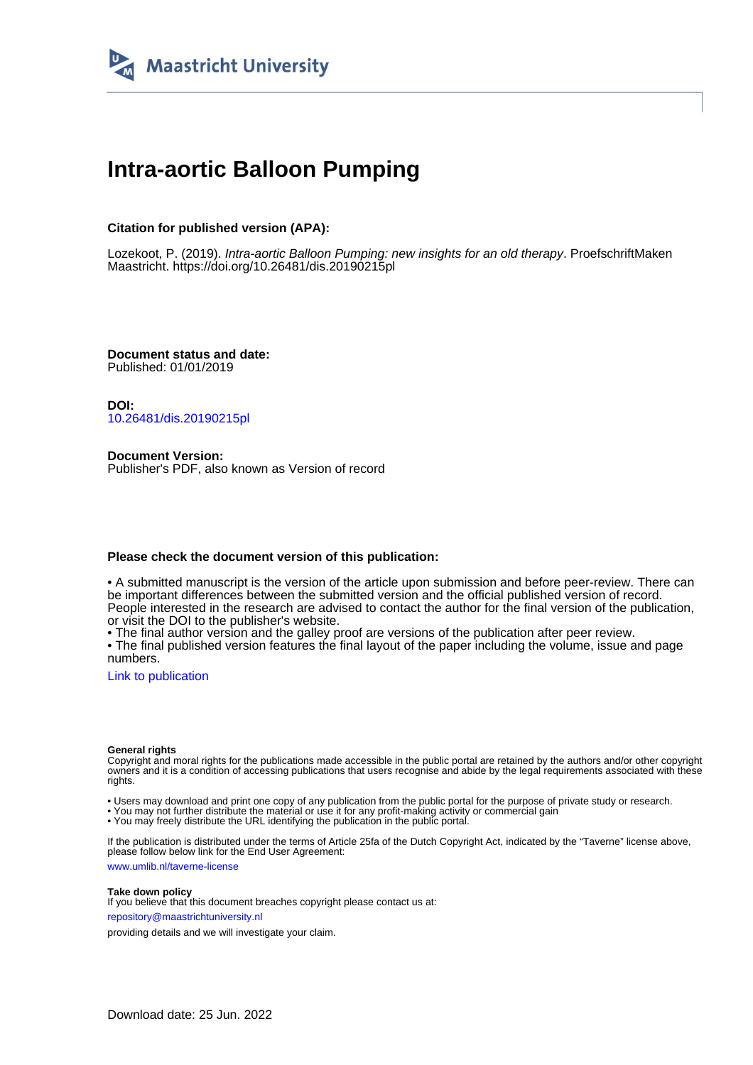

## **Intra-aortic Balloon Pumping**

### **Citation for published version (APA):**

Lozekoot, P. (2019). Intra-aortic Balloon Pumping: new insights for an old therapy. ProefschriftMaken Maastricht. <https://doi.org/10.26481/dis.20190215pl>

**Document status and date:** Published: 01/01/2019

**DOI:** [10.26481/dis.20190215pl](https://doi.org/10.26481/dis.20190215pl)

**Document Version:** Publisher's PDF, also known as Version of record

#### **Please check the document version of this publication:**

• A submitted manuscript is the version of the article upon submission and before peer-review. There can be important differences between the submitted version and the official published version of record. People interested in the research are advised to contact the author for the final version of the publication, or visit the DOI to the publisher's website.

• The final author version and the galley proof are versions of the publication after peer review.

• The final published version features the final layout of the paper including the volume, issue and page numbers.

[Link to publication](https://cris.maastrichtuniversity.nl/en/publications/f13fbed2-b9ff-48ac-955f-f0d4b05f5c57)

#### **General rights**

Copyright and moral rights for the publications made accessible in the public portal are retained by the authors and/or other copyright owners and it is a condition of accessing publications that users recognise and abide by the legal requirements associated with these rights.

• Users may download and print one copy of any publication from the public portal for the purpose of private study or research.

• You may not further distribute the material or use it for any profit-making activity or commercial gain

• You may freely distribute the URL identifying the publication in the public portal.

If the publication is distributed under the terms of Article 25fa of the Dutch Copyright Act, indicated by the "Taverne" license above, please follow below link for the End User Agreement:

www.umlib.nl/taverne-license

#### **Take down policy**

If you believe that this document breaches copyright please contact us at: repository@maastrichtuniversity.nl

providing details and we will investigate your claim.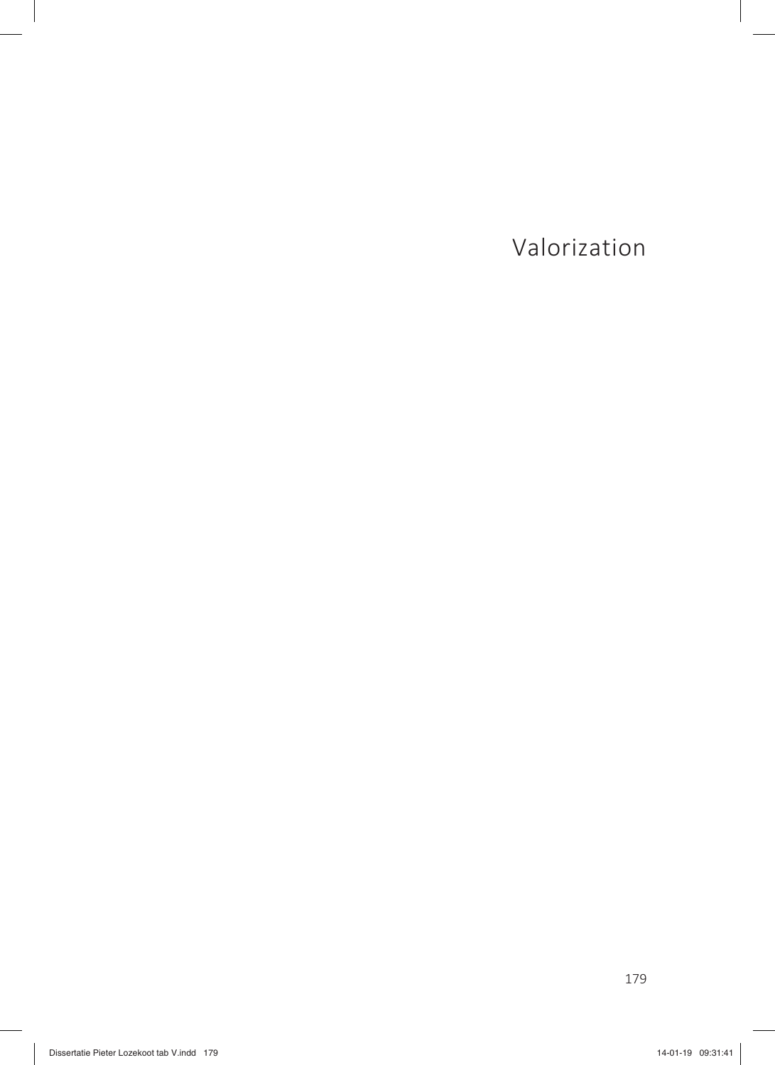# Valorization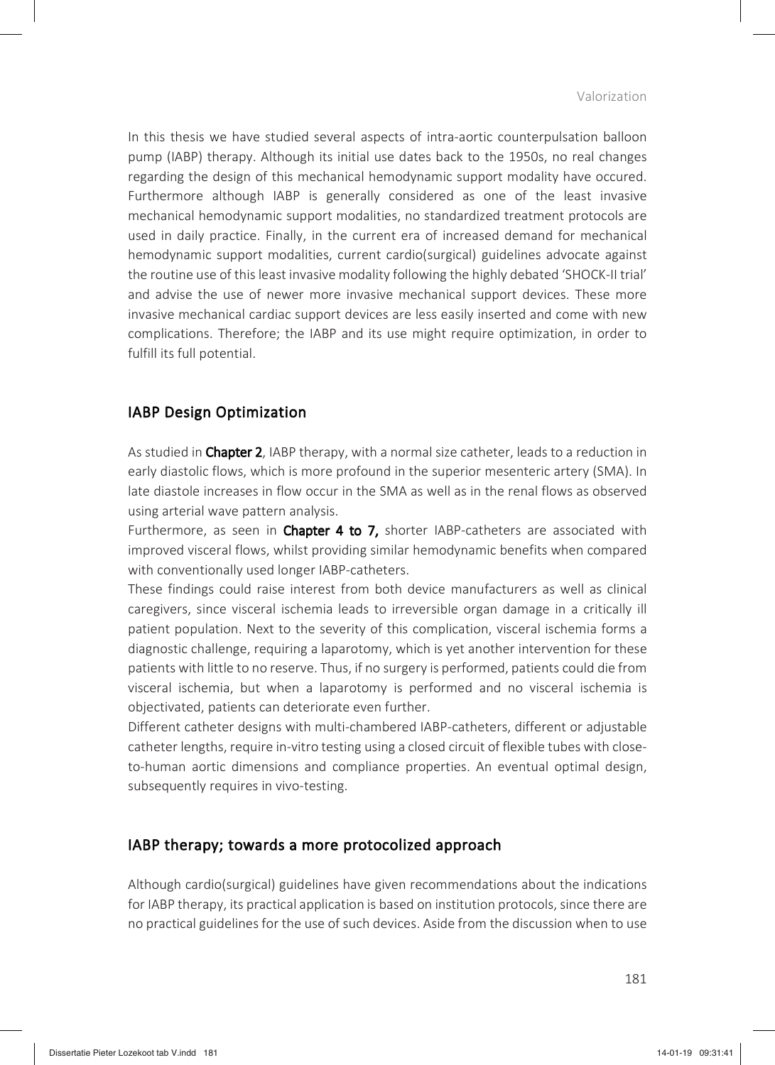In this thesis we have studied several aspects of intra-aortic counterpulsation balloon pump (IABP) therapy. Although its initial use dates back to the 1950s, no real changes regarding the design of this mechanical hemodynamic support modality have occured. Furthermore although IABP is generally considered as one of the least invasive mechanical hemodynamic support modalities, no standardized treatment protocols are used in daily practice. Finally, in the current era of increased demand for mechanical hemodynamic support modalities, current cardio(surgical) guidelines advocate against the routine use of this least invasive modality following the highly debated 'SHOCK-II trial' and advise the use of newer more invasive mechanical support devices. These more invasive mechanical cardiac support devices are less easily inserted and come with new complications. Therefore; the IABP and its use might require optimization, in order to fulfill its full potential.

## IABP Design Optimization

As studied in **Chapter 2**, IABP therapy, with a normal size catheter, leads to a reduction in early diastolic flows, which is more profound in the superior mesenteric artery (SMA). In late diastole increases in flow occur in the SMA as well as in the renal flows as observed using arterial wave pattern analysis.

Furthermore, as seen in Chapter 4 to 7, shorter IABP-catheters are associated with improved visceral flows, whilst providing similar hemodynamic benefits when compared with conventionally used longer IABP-catheters.

These findings could raise interest from both device manufacturers as well as clinical caregivers, since visceral ischemia leads to irreversible organ damage in a critically ill patient population. Next to the severity of this complication, visceral ischemia forms a diagnostic challenge, requiring a laparotomy, which is yet another intervention for these patients with little to no reserve. Thus, if no surgery is performed, patients could die from visceral ischemia, but when a laparotomy is performed and no visceral ischemia is objectivated, patients can deteriorate even further.

Different catheter designs with multi-chambered IABP-catheters, different or adjustable catheter lengths, require in-vitro testing using a closed circuit of flexible tubes with closeto-human aortic dimensions and compliance properties. An eventual optimal design, subsequently requires in vivo-testing.

## IABP therapy; towards a more protocolized approach

Although cardio(surgical) guidelines have given recommendations about the indications for IABP therapy, its practical application is based on institution protocols, since there are no practical guidelines for the use of such devices. Aside from the discussion when to use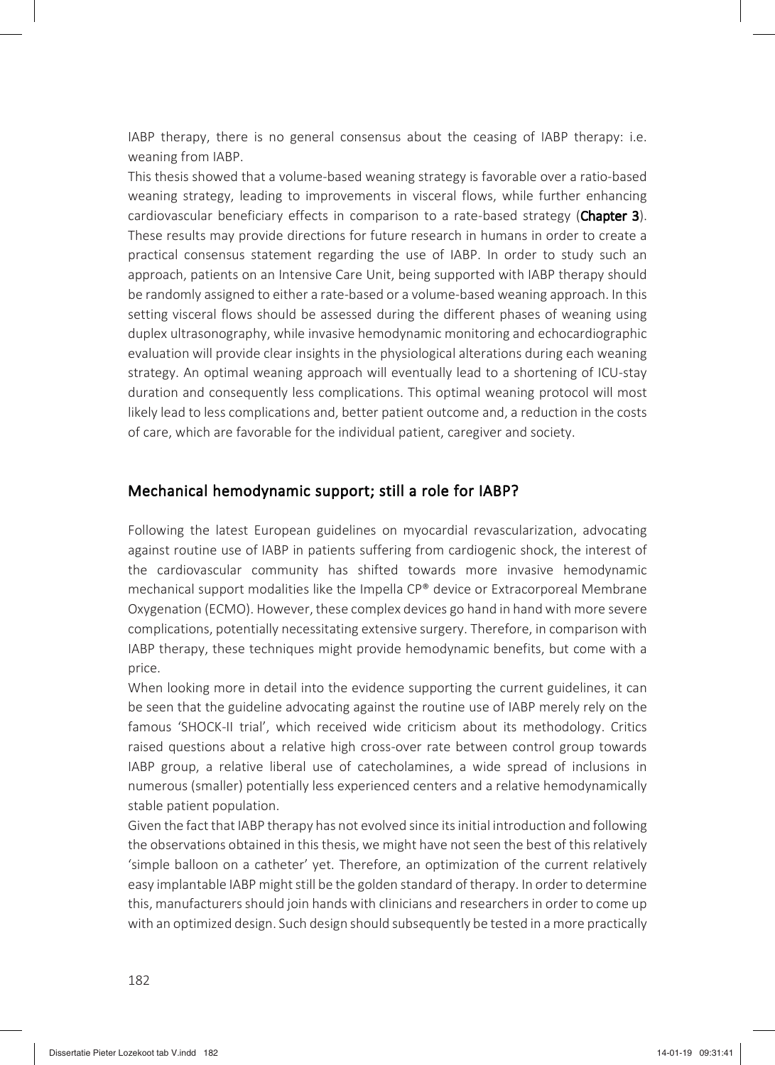IABP therapy, there is no general consensus about the ceasing of IABP therapy: i.e. weaning from IABP.

This thesis showed that a volume-based weaning strategy is favorable over a ratio-based weaning strategy, leading to improvements in visceral flows, while further enhancing cardiovascular beneficiary effects in comparison to a rate-based strategy (**Chapter 3**). These results may provide directions for future research in humans in order to create a practical consensus statement regarding the use of IABP. In order to study such an approach, patients on an Intensive Care Unit, being supported with IABP therapy should be randomly assigned to either a rate-based or a volume-based weaning approach. In this setting visceral flows should be assessed during the different phases of weaning using duplex ultrasonography, while invasive hemodynamic monitoring and echocardiographic evaluation will provide clear insights in the physiological alterations during each weaning strategy. An optimal weaning approach will eventually lead to a shortening of ICU-stay duration and consequently less complications. This optimal weaning protocol will most likely lead to less complications and, better patient outcome and, a reduction in the costs of care, which are favorable for the individual patient, caregiver and society.

## Mechanical hemodynamic support; still a role for IABP?

Following the latest European guidelines on myocardial revascularization, advocating against routine use of IABP in patients suffering from cardiogenic shock, the interest of the cardiovascular community has shifted towards more invasive hemodynamic mechanical support modalities like the Impella CP® device or Extracorporeal Membrane Oxygenation (ECMO). However, these complex devices go hand in hand with more severe complications, potentially necessitating extensive surgery. Therefore, in comparison with IABP therapy, these techniques might provide hemodynamic benefits, but come with a price.

When looking more in detail into the evidence supporting the current guidelines, it can be seen that the guideline advocating against the routine use of IABP merely rely on the famous 'SHOCK-II trial', which received wide criticism about its methodology. Critics raised questions about a relative high cross-over rate between control group towards IABP group, a relative liberal use of catecholamines, a wide spread of inclusions in numerous (smaller) potentially less experienced centers and a relative hemodynamically stable patient population.

Given the fact that IABP therapy has not evolved since its initial introduction and following the observations obtained in this thesis, we might have not seen the best of this relatively 'simple balloon on a catheter' yet. Therefore, an optimization of the current relatively easy implantable IABP might still be the golden standard of therapy. In order to determine this, manufacturers should join hands with clinicians and researchers in order to come up with an optimized design. Such design should subsequently be tested in a more practically